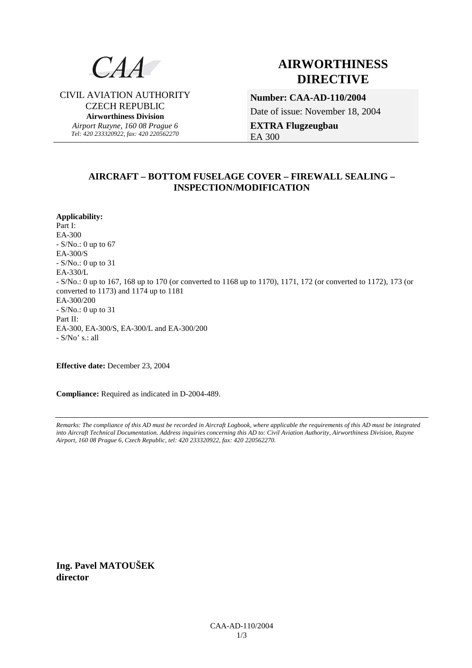

CIVIL AVIATION AUTHORITY CZECH REPUBLIC **Airworthiness Division**  *Airport Ruzyne, 160 08 Prague 6 Tel: 420 233320922, fax: 420 220562270*

# **AIRWORTHINESS DIRECTIVE**

**Number: CAA-AD-110/2004**  Date of issue: November 18, 2004 **EXTRA Flugzeugbau** 

EA 300

## **AIRCRAFT – BOTTOM FUSELAGE COVER – FIREWALL SEALING – INSPECTION/MODIFICATION**

**Applicability:** Part I: EA-300 - S/No.: 0 up to 67 EA-300/S - S/No.: 0 up to 31 EA-330/L - S/No.: 0 up to 167, 168 up to 170 (or converted to 1168 up to 1170), 1171, 172 (or converted to 1172), 173 (or converted to 1173) and 1174 up to 1181 EA-300/200 - S/No.: 0 up to 31 Part II: EA-300, EA-300/S, EA-300/L and EA-300/200 - S/No' s.: all

**Effective date:** December 23, 2004

**Compliance:** Required as indicated in D-2004-489.

*Remarks: The compliance of this AD must be recorded in Aircraft Logbook, where applicable the requirements of this AD must be integrated into Aircraft Technical Documentation. Address inquiries concerning this AD to: Civil Aviation Authority, Airworthiness Division, Ruzyne Airport, 160 08 Prague 6, Czech Republic, tel: 420 233320922, fax: 420 220562270.* 

**Ing. Pavel MATOUŠEK director**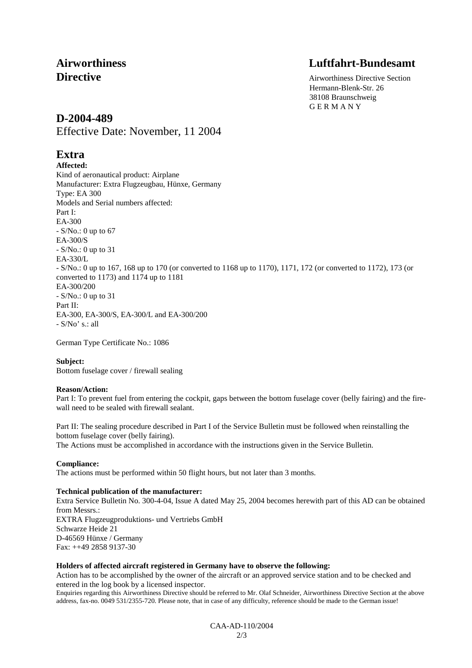# **Airworthiness Luftfahrt-Bundesamt**

**Directive** Airworthiness Directive Section Hermann-Blenk-Str. 26 38108 Braunschweig G E R M A N Y

# **D-2004-489**

Effective Date: November, 11 2004

# **Extra**

**Affected:**  Kind of aeronautical product: Airplane Manufacturer: Extra Flugzeugbau, Hünxe, Germany Type: EA 300 Models and Serial numbers affected: Part I: EA-300 - S/No.: 0 up to 67 EA-300/S - S/No.: 0 up to 31 EA-330/L - S/No.: 0 up to 167, 168 up to 170 (or converted to 1168 up to 1170), 1171, 172 (or converted to 1172), 173 (or converted to 1173) and 1174 up to 1181 EA-300/200 - S/No.: 0 up to 31 Part II: EA-300, EA-300/S, EA-300/L and EA-300/200 - S/No' s.: all

German Type Certificate No.: 1086

## **Subject:**

Bottom fuselage cover / firewall sealing

## **Reason/Action:**

Part I: To prevent fuel from entering the cockpit, gaps between the bottom fuselage cover (belly fairing) and the firewall need to be sealed with firewall sealant.

Part II: The sealing procedure described in Part I of the Service Bulletin must be followed when reinstalling the bottom fuselage cover (belly fairing).

The Actions must be accomplished in accordance with the instructions given in the Service Bulletin.

## **Compliance:**

The actions must be performed within 50 flight hours, but not later than 3 months.

### **Technical publication of the manufacturer:**

Extra Service Bulletin No. 300-4-04, Issue A dated May 25, 2004 becomes herewith part of this AD can be obtained from Messrs.: EXTRA Flugzeugproduktions- und Vertriebs GmbH Schwarze Heide 21 D-46569 Hünxe / Germany Fax: ++49 2858 9137-30

### **Holders of affected aircraft registered in Germany have to observe the following:**

Action has to be accomplished by the owner of the aircraft or an approved service station and to be checked and entered in the log book by a licensed inspector.

Enquiries regarding this Airworthiness Directive should be referred to Mr. Olaf Schneider, Airworthiness Directive Section at the above address, fax-no. 0049 531/2355-720. Please note, that in case of any difficulty, reference should be made to the German issue!